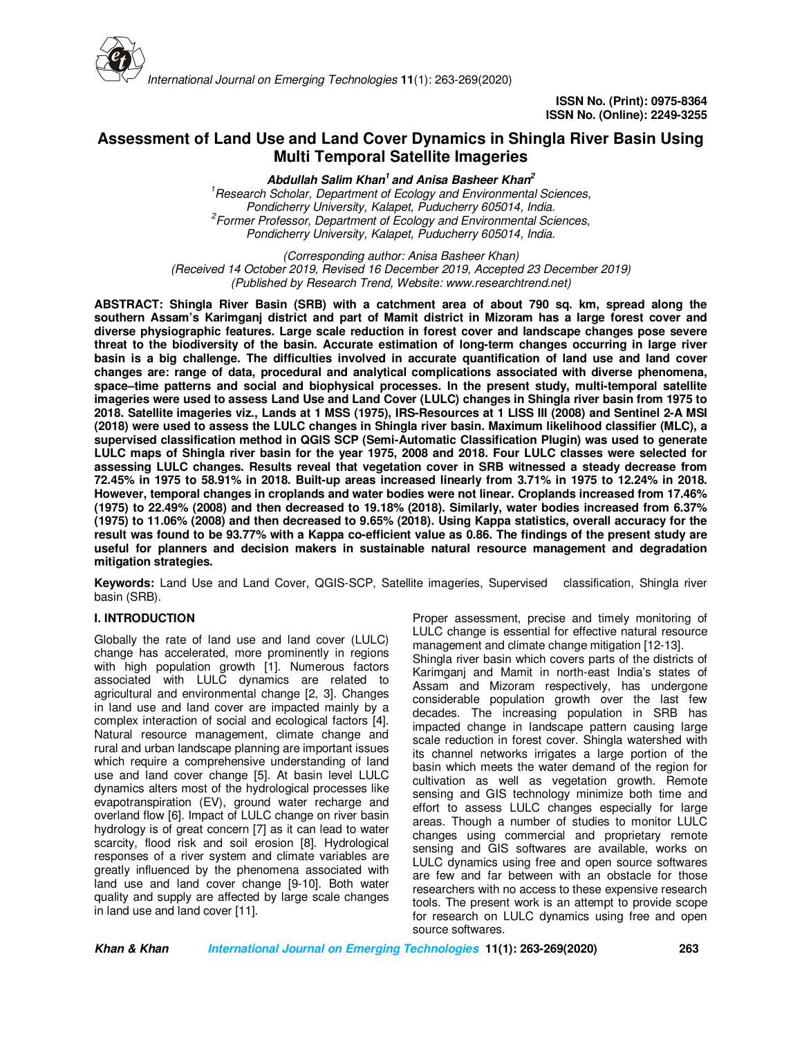

# **Assessment of Land Use and Land Cover Dynamics in Shingla River Basin Using Multi Temporal Satellite Imageries**

**Abdullah Salim Khan<sup>1</sup>and Anisa Basheer Khan<sup>2</sup>** *<sup>1</sup>Research Scholar, Department of Ecology and Environmental Sciences, Pondicherry University, Kalapet, Puducherry 605014, India. 2 Former Professor*, *Department of Ecology and Environmental Sciences, Pondicherry University, Kalapet, Puducherry 605014, India.*

*(Corresponding author: Anisa Basheer Khan) (Received 14 October 2019, Revised 16 December 2019, Accepted 23 December 2019) (Published by Research Trend, Website: www.researchtrend.net)*

**ABSTRACT: Shingla River Basin (SRB) with a catchment area of about 790 sq. km, spread along the southern Assam's Karimganj district and part of Mamit district in Mizoram has a large forest cover and diverse physiographic features. Large scale reduction in forest cover and landscape changes pose severe threat to the biodiversity of the basin. Accurate estimation of long-term changes occurring in large river basin is a big challenge. The difficulties involved in accurate quantification of land use and land cover changes are: range of data, procedural and analytical complications associated with diverse phenomena, space–time patterns and social and biophysical processes. In the present study, multi-temporal satellite imageries were used to assess Land Use and Land Cover (LULC) changes in Shingla river basin from 1975 to 2018. Satellite imageries viz., Lands at 1 MSS (1975), IRS-Resources at 1 LISS III (2008) and Sentinel 2-A MSI (2018) were used to assess the LULC changes in Shingla river basin. Maximum likelihood classifier (MLC), a supervised classification method in QGIS SCP (Semi-Automatic Classification Plugin) was used to generate LULC maps of Shingla river basin for the year 1975, 2008 and 2018. Four LULC classes were selected for assessing LULC changes. Results reveal that vegetation cover in SRB witnessed a steady decrease from 72.45% in 1975 to 58.91% in 2018. Built-up areas increased linearly from 3.71% in 1975 to 12.24% in 2018. However, temporal changes in croplands and water bodies were not linear. Croplands increased from 17.46% (1975) to 22.49% (2008) and then decreased to 19.18% (2018). Similarly, water bodies increased from 6.37% (1975) to 11.06% (2008) and then decreased to 9.65% (2018). Using Kappa statistics, overall accuracy for the result was found to be 93.77% with a Kappa co-efficient value as 0.86. The findings of the present study are useful for planners and decision makers in sustainable natural resource management and degradation mitigation strategies.** 

**Keywords:** Land Use and Land Cover, QGIS-SCP, Satellite imageries, Supervised classification, Shingla river basin (SRB).

# **I. INTRODUCTION**

Globally the rate of land use and land cover (LULC) change has accelerated, more prominently in regions with high population growth [1]. Numerous factors associated with LULC dynamics are related to agricultural and environmental change [2, 3]. Changes in land use and land cover are impacted mainly by a complex interaction of social and ecological factors [4]. Natural resource management, climate change and rural and urban landscape planning are important issues which require a comprehensive understanding of land use and land cover change [5]. At basin level LULC dynamics alters most of the hydrological processes like evapotranspiration (EV), ground water recharge and overland flow [6]. Impact of LULC change on river basin hydrology is of great concern [7] as it can lead to water scarcity, flood risk and soil erosion [8]. Hydrological responses of a river system and climate variables are greatly influenced by the phenomena associated with land use and land cover change [9-10]. Both water quality and supply are affected by large scale changes in land use and land cover [11].

Proper assessment, precise and timely monitoring of LULC change is essential for effective natural resource management and climate change mitigation [12-13].

Shingla river basin which covers parts of the districts of Karimganj and Mamit in north-east India's states of Assam and Mizoram respectively, has undergone considerable population growth over the last few decades. The increasing population in SRB has impacted change in landscape pattern causing large scale reduction in forest cover. Shingla watershed with its channel networks irrigates a large portion of the basin which meets the water demand of the region for cultivation as well as vegetation growth. Remote sensing and GIS technology minimize both time and effort to assess LULC changes especially for large areas. Though a number of studies to monitor LULC changes using commercial and proprietary remote sensing and GIS softwares are available, works on LULC dynamics using free and open source softwares are few and far between with an obstacle for those researchers with no access to these expensive research tools. The present work is an attempt to provide scope for research on LULC dynamics using free and open source softwares.

**Khan & Khan International Journal on Emerging Technologies 11(1): 263-269(2020) 263**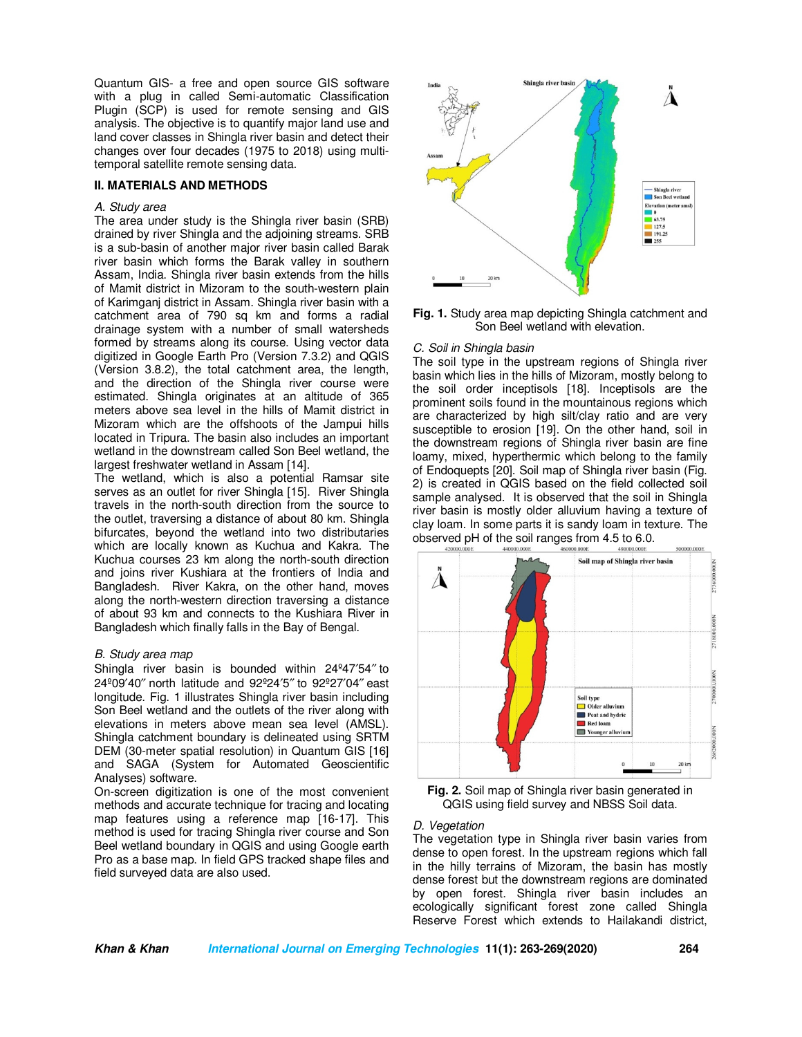Quantum GIS- a free and open source GIS software with a plug in called Semi-automatic Classification Plugin (SCP) is used for remote sensing and GIS analysis. The objective is to quantify major land use and land cover classes in Shingla river basin and detect their changes over four decades (1975 to 2018) using multitemporal satellite remote sensing data.

### **II. MATERIALS AND METHODS**

### *A. Study area*

The area under study is the Shingla river basin (SRB) drained by river Shingla and the adjoining streams. SRB is a sub-basin of another major river basin called Barak river basin which forms the Barak valley in southern Assam, India. Shingla river basin extends from the hills of Mamit district in Mizoram to the south-western plain of Karimganj district in Assam. Shingla river basin with a catchment area of 790 sq km and forms a radial drainage system with a number of small watersheds formed by streams along its course. Using vector data digitized in Google Earth Pro (Version 7.3.2) and QGIS (Version 3.8.2), the total catchment area, the length, and the direction of the Shingla river course were estimated. Shingla originates at an altitude of 365 meters above sea level in the hills of Mamit district in Mizoram which are the offshoots of the Jampui hills located in Tripura. The basin also includes an important wetland in the downstream called Son Beel wetland, the largest freshwater wetland in Assam [14].

The wetland, which is also a potential Ramsar site serves as an outlet for river Shingla [15]. River Shingla travels in the north-south direction from the source to the outlet, traversing a distance of about 80 km. Shingla bifurcates, beyond the wetland into two distributaries which are locally known as Kuchua and Kakra. The Kuchua courses 23 km along the north-south direction and joins river Kushiara at the frontiers of India and Bangladesh. River Kakra, on the other hand, moves along the north-western direction traversing a distance of about 93 km and connects to the Kushiara River in Bangladesh which finally falls in the Bay of Bengal.

### *B. Study area map*

Shingla river basin is bounded within 24º47′54″ to 24º09′40″ north latitude and 92º24′5″ to 92º27′04″ east longitude. Fig. 1 illustrates Shingla river basin including Son Beel wetland and the outlets of the river along with elevations in meters above mean sea level (AMSL). Shingla catchment boundary is delineated using SRTM DEM (30-meter spatial resolution) in Quantum GIS [16] and SAGA (System for Automated Geoscientific Analyses) software.

On-screen digitization is one of the most convenient methods and accurate technique for tracing and locating map features using a reference map [16-17]. This method is used for tracing Shingla river course and Son Beel wetland boundary in QGIS and using Google earth Pro as a base map. In field GPS tracked shape files and field surveyed data are also used.



**Fig. 1.** Study area map depicting Shingla catchment and Son Beel wetland with elevation.

#### *C. Soil in Shingla basin*

The soil type in the upstream regions of Shingla river basin which lies in the hills of Mizoram, mostly belong to the soil order inceptisols [18]. Inceptisols are the prominent soils found in the mountainous regions which are characterized by high silt/clay ratio and are very susceptible to erosion [19]. On the other hand, soil in the downstream regions of Shingla river basin are fine loamy, mixed, hyperthermic which belong to the family of Endoquepts [20]. Soil map of Shingla river basin (Fig. 2) is created in QGIS based on the field collected soil sample analysed. It is observed that the soil in Shingla river basin is mostly older alluvium having a texture of clay loam. In some parts it is sandy loam in texture. The observed pH of the soil ranges from 4.5 to 6.0.



**Fig. 2.** Soil map of Shingla river basin generated in QGIS using field survey and NBSS Soil data.

#### *D. Vegetation*

The vegetation type in Shingla river basin varies from dense to open forest. In the upstream regions which fall in the hilly terrains of Mizoram, the basin has mostly dense forest but the downstream regions are dominated by open forest. Shingla river basin includes an ecologically significant forest zone called Shingla Reserve Forest which extends to Hailakandi district,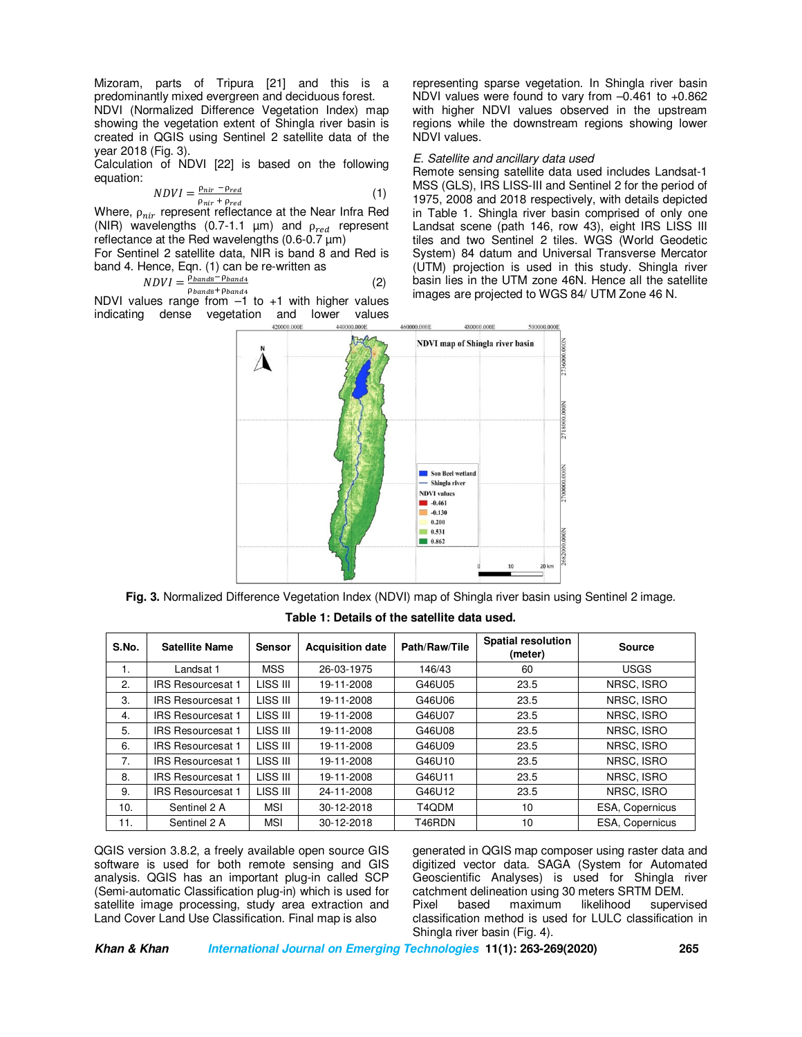Mizoram, parts of Tripura [21] and this is a predominantly mixed evergreen and deciduous forest. NDVI (Normalized Difference Vegetation Index) map showing the vegetation extent of Shingla river basin is created in QGIS using Sentinel 2 satellite data of the year 2018 (Fig. 3).

Calculation of NDVI [22] is based on the following equation:

$$
NDVI = \frac{\rho_{nir} - \rho_{red}}{\rho_{nir} + \rho_{red}}\tag{1}
$$

Where,  $\rho_{nir}$  represent reflectance at the Near Infra Red (NIR) wavelengths (0.7-1.1  $\mu$ m) and  $\rho_{red}$  represent reflectance at the Red wavelengths  $(0.6-0.7 \,\text{µm})$ 

For Sentinel 2 satellite data, NIR is band 8 and Red is band 4. Hence, Eqn. (1) can be re-written as

$$
NDVI = \frac{\dot{\rho}_{bands} - \rho_{band4}}{\rho_{heat} + \rho_{heat}}\tag{2}
$$

NDVI values range from  $-1$  to  $+1$  with higher values indicating dense vegetation and lower values

representing sparse vegetation. In Shingla river basin NDVI values were found to vary from –0.461 to +0.862 with higher NDVI values observed in the upstream regions while the downstream regions showing lower NDVI values.

## *E. Satellite and ancillary data used*

Remote sensing satellite data used includes Landsat-1 MSS (GLS), IRS LISS-III and Sentinel 2 for the period of 1975, 2008 and 2018 respectively, with details depicted in Table 1. Shingla river basin comprised of only one Landsat scene (path 146, row 43), eight IRS LISS III tiles and two Sentinel 2 tiles. WGS (World Geodetic System) 84 datum and Universal Transverse Mercator (UTM) projection is used in this study. Shingla river basin lies in the UTM zone 46N. Hence all the satellite images are projected to WGS 84/ UTM Zone 46 N.



**Fig. 3.** Normalized Difference Vegetation Index (NDVI) map of Shingla river basin using Sentinel 2 image.

| S.No. | <b>Satellite Name</b>    | <b>Sensor</b> | <b>Acquisition date</b> | Path/Raw/Tile | <b>Spatial resolution</b><br>(meter) | <b>Source</b>   |  |
|-------|--------------------------|---------------|-------------------------|---------------|--------------------------------------|-----------------|--|
| 1.    | Landsat 1                | <b>MSS</b>    | 26-03-1975              | 146/43        | 60                                   | <b>USGS</b>     |  |
| 2.    | <b>IRS Resourcesat 1</b> | LISS III      | 19-11-2008              | G46U05        | 23.5                                 | NRSC, ISRO      |  |
| 3.    | <b>IRS Resourcesat 1</b> | LISS III      | 19-11-2008              | G46U06        | 23.5                                 | NRSC, ISRO      |  |
| 4.    | <b>IRS Resourcesat 1</b> | LISS III      | 19-11-2008              | G46U07        | 23.5                                 | NRSC, ISRO      |  |
| 5.    | <b>IRS Resourcesat 1</b> | LISS III      | 19-11-2008              | G46U08        | 23.5                                 | NRSC, ISRO      |  |
| 6.    | <b>IRS Resourcesat 1</b> | LISS III      | 19-11-2008              | G46U09        | 23.5                                 | NRSC, ISRO      |  |
| 7.    | <b>IRS Resourcesat 1</b> | LISS III      | 19-11-2008              | G46U10        | 23.5                                 | NRSC, ISRO      |  |
| 8.    | <b>IRS Resourcesat 1</b> | LISS III      | 19-11-2008              | G46U11        | 23.5                                 | NRSC. ISRO      |  |
| 9.    | <b>IRS Resourcesat 1</b> | LISS III      | 24-11-2008              | G46U12        | 23.5                                 | NRSC, ISRO      |  |
| 10.   | Sentinel 2 A             | <b>MSI</b>    | 30-12-2018              | T4QDM         | 10                                   | ESA, Copernicus |  |
| 11.   | Sentinel 2 A             | <b>MSI</b>    | 30-12-2018              | T46RDN        | 10                                   | ESA, Copernicus |  |

**Table 1: Details of the satellite data used.** 

QGIS version 3.8.2, a freely available open source GIS software is used for both remote sensing and GIS analysis. QGIS has an important plug-in called SCP (Semi-automatic Classification plug-in) which is used for satellite image processing, study area extraction and Land Cover Land Use Classification. Final map is also

generated in QGIS map composer using raster data and digitized vector data. SAGA (System for Automated Geoscientific Analyses) is used for Shingla river catchment delineation using 30 meters SRTM DEM. Pixel based maximum likelihood supervised classification method is used for LULC classification in Shingla river basin (Fig. 4).

**Khan & Khan International Journal on Emerging Technologies 11(1): 263-269(2020) 265**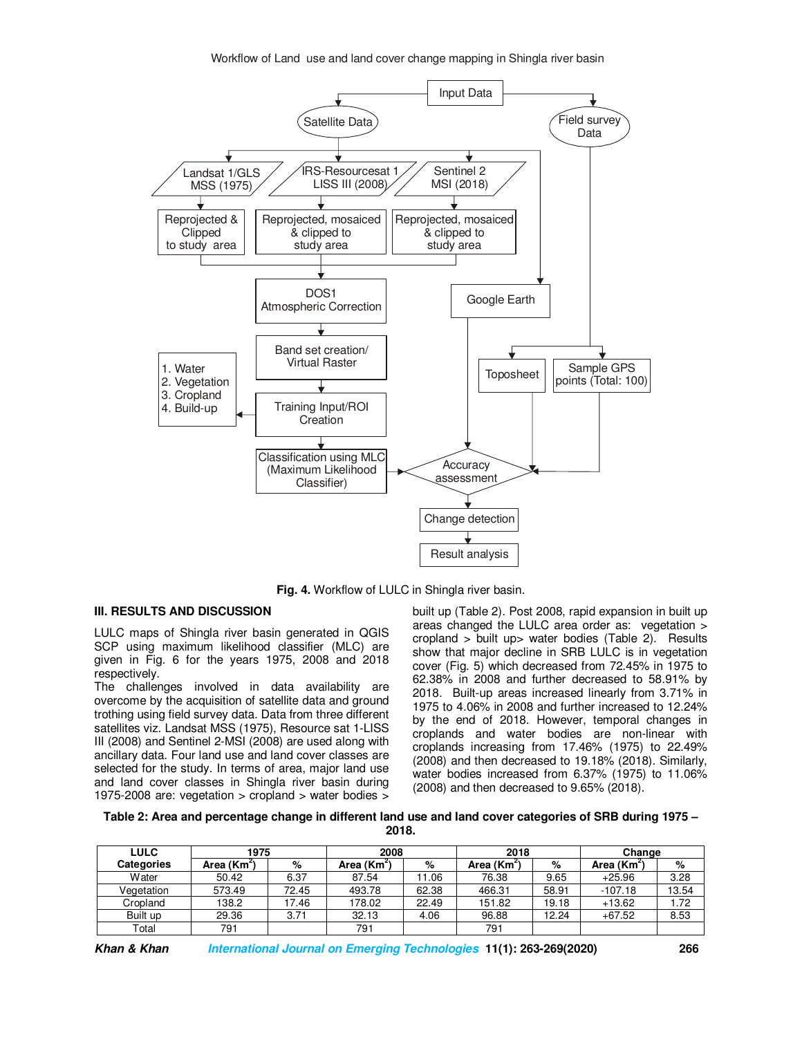

**Fig. 4.** Workflow of LULC in Shingla river basin.

# **III. RESULTS AND DISCUSSION**

LULC maps of Shingla river basin generated in QGIS SCP using maximum likelihood classifier (MLC) are given in Fig. 6 for the years 1975, 2008 and 2018 respectively.

The challenges involved in data availability are overcome by the acquisition of satellite data and ground trothing using field survey data. Data from three different satellites viz. Landsat MSS (1975), Resource sat 1-LISS III (2008) and Sentinel 2-MSI (2008) are used along with ancillary data. Four land use and land cover classes are selected for the study. In terms of area, major land use and land cover classes in Shingla river basin during 1975-2008 are: vegetation > cropland > water bodies >

built up (Table 2). Post 2008, rapid expansion in built up areas changed the LULC area order as: vegetation > cropland > built up> water bodies (Table 2). Results show that major decline in SRB LULC is in vegetation cover (Fig. 5) which decreased from 72.45% in 1975 to 62.38% in 2008 and further decreased to 58.91% by 2018. Built-up areas increased linearly from 3.71% in 1975 to 4.06% in 2008 and further increased to 12.24% by the end of 2018. However, temporal changes in croplands and water bodies are non-linear with croplands increasing from 17.46% (1975) to 22.49% (2008) and then decreased to 19.18% (2018). Similarly, water bodies increased from 6.37% (1975) to 11.06% (2008) and then decreased to 9.65% (2018).

**Table 2: Area and percentage change in different land use and land cover categories of SRB during 1975 – 2018.** 

| <b>LULC</b>       | 1975                    |       | 2008                  |       | 2018                    |       | Change                 |       |
|-------------------|-------------------------|-------|-----------------------|-------|-------------------------|-------|------------------------|-------|
| <b>Categories</b> | Area (Km <sup>2</sup> ) | %     | Area (Km <sup>2</sup> | %     | Area (Km <sup>2</sup> ) | %     | Area (Km <sup>2)</sup> | %     |
| <b>W</b> ater     | 50.42                   | 6.37  | 87.54                 | 11.06 | 76.38                   | 9.65  | $+25.96$               | 3.28  |
| Vegetation        | 573.49                  | 72.45 | 493.78                | 62.38 | 466.31                  | 58.91 | $-107.18$              | 13.54 |
| Cropland          | 138.2                   | 17.46 | 178.02                | 22.49 | 151.82                  | 19.18 | $+13.62$               | 1.72  |
| Built up          | 29.36                   | 3.71  | 32.13                 | 4.06  | 96.88                   | 12.24 | $+67.52$               | 8.53  |
| Total             | 791                     |       | 791                   |       | 791                     |       |                        |       |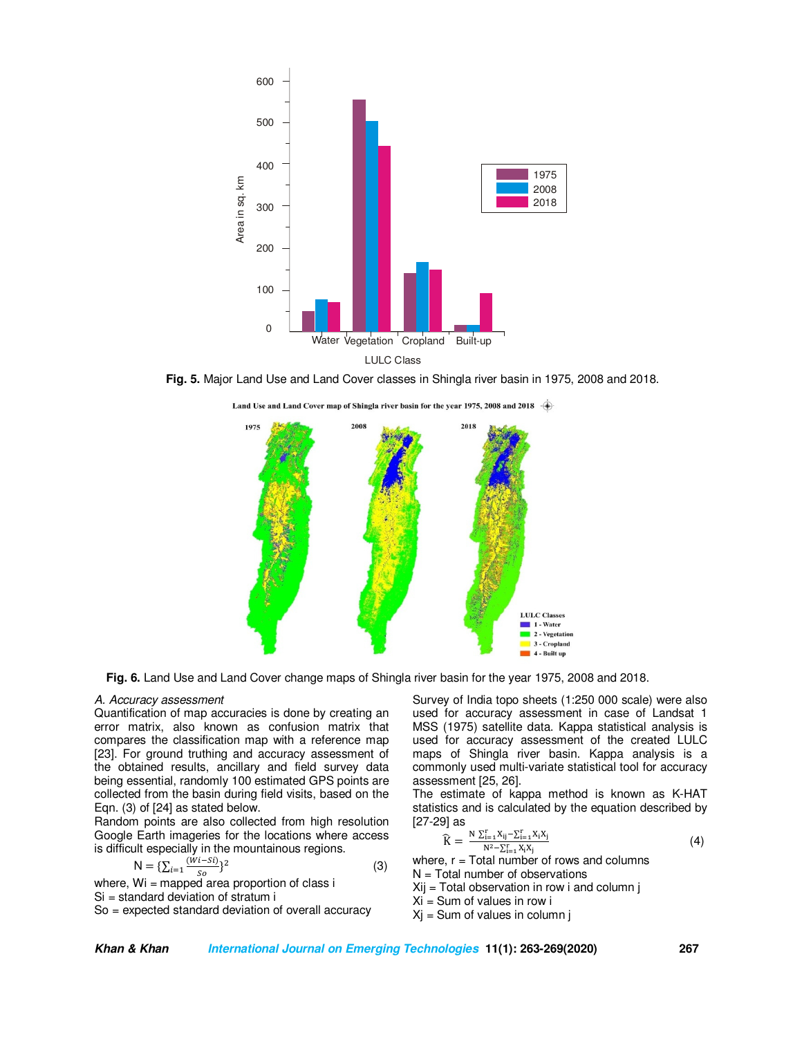

**Fig. 5.** Major Land Use and Land Cover classes in Shingla river basin in 1975, 2008 and 2018.

Land Use and Land Cover map of Shingla river basin for the year 1975, 2008 and 2018



**Fig. 6.** Land Use and Land Cover change maps of Shingla river basin for the year 1975, 2008 and 2018.

#### *A. Accuracy assessment*

Quantification of map accuracies is done by creating an error matrix, also known as confusion matrix that compares the classification map with a reference map [23]. For ground truthing and accuracy assessment of the obtained results, ancillary and field survey data being essential, randomly 100 estimated GPS points are collected from the basin during field visits, based on the Eqn. (3) of [24] as stated below.

Random points are also collected from high resolution Google Earth imageries for the locations where access is difficult especially in the mountainous regions.

$$
N = \{ \sum_{i=1}^{\{Wi-Si\}} \}^2 \tag{3}
$$

where, Wi = mapped area proportion of class i Si = standard deviation of stratum i So = expected standard deviation of overall accuracy Survey of India topo sheets (1:250 000 scale) were also used for accuracy assessment in case of Landsat 1 MSS (1975) satellite data. Kappa statistical analysis is used for accuracy assessment of the created LULC maps of Shingla river basin. Kappa analysis is a commonly used multi-variate statistical tool for accuracy assessment [25, 26].

The estimate of kappa method is known as K-HAT statistics and is calculated by the equation described by [27-29] as

$$
\widehat{K} = \frac{N \sum_{i=1}^{r} X_{ij} - \sum_{i=1}^{r} X_{i} X_{j}}{N^{2} - \sum_{i=1}^{r} X_{i} X_{j}}
$$
(4)

where,  $r = \text{Total number of rows and columns}$  $N = Total number of observations$ 

 $X_{ij}$  = Total observation in row i and column j

 $Xi = Sum$  of values in row i

 $Xj$  = Sum of values in column j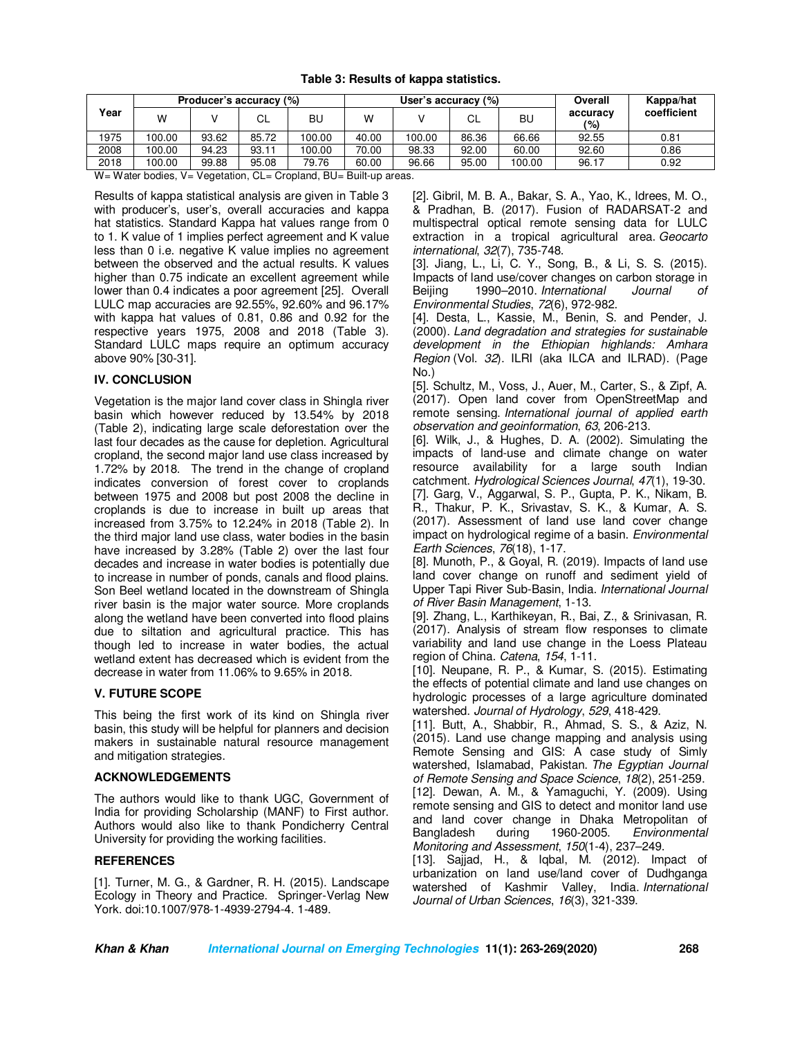| Year                                                                                                   | Producer's accuracy (%) |       |       |        | User's accuracy (%) |        |       |        | Overall         | Kappa/hat   |
|--------------------------------------------------------------------------------------------------------|-------------------------|-------|-------|--------|---------------------|--------|-------|--------|-----------------|-------------|
|                                                                                                        | w                       |       | СL    | BU     | w                   |        | СL    | BU     | accuracy<br>(%) | coefficient |
| 1975                                                                                                   | 100.00                  | 93.62 | 85.72 | 100.00 | 40.00               | 100.00 | 86.36 | 66.66  | 92.55           | 0.81        |
| 2008                                                                                                   | 100.00                  | 94.23 | 93.11 | 100.00 | 70.00               | 98.33  | 92.00 | 60.00  | 92.60           | 0.86        |
| 2018                                                                                                   | 100.00                  | 99.88 | 95.08 | 79.76  | 60.00               | 96.66  | 95.00 | 100.00 | 96.17           | 0.92        |
| $M_{\rm t}$ $M_{\rm t}$ is the disc $M_{\rm t}$ is the set of $\Omega$<br>Overland DII Dulleting and a |                         |       |       |        |                     |        |       |        |                 |             |

W= Water bodies, V= Vegetation, CL= Cropland, BU= Built-up areas.

Results of kappa statistical analysis are given in Table 3 with producer's, user's, overall accuracies and kappa hat statistics. Standard Kappa hat values range from 0 to 1. K value of 1 implies perfect agreement and K value less than 0 i.e. negative K value implies no agreement between the observed and the actual results. K values higher than 0.75 indicate an excellent agreement while lower than 0.4 indicates a poor agreement [25]. Overall LULC map accuracies are 92.55%, 92.60% and 96.17% with kappa hat values of 0.81, 0.86 and 0.92 for the respective years 1975, 2008 and 2018 (Table 3). Standard LULC maps require an optimum accuracy above 90% [30-31].

## **IV. CONCLUSION**

Vegetation is the major land cover class in Shingla river basin which however reduced by 13.54% by 2018 (Table 2), indicating large scale deforestation over the last four decades as the cause for depletion. Agricultural cropland, the second major land use class increased by 1.72% by 2018. The trend in the change of cropland indicates conversion of forest cover to croplands between 1975 and 2008 but post 2008 the decline in croplands is due to increase in built up areas that increased from 3.75% to 12.24% in 2018 (Table 2). In the third major land use class, water bodies in the basin have increased by 3.28% (Table 2) over the last four decades and increase in water bodies is potentially due to increase in number of ponds, canals and flood plains. Son Beel wetland located in the downstream of Shingla river basin is the major water source. More croplands along the wetland have been converted into flood plains due to siltation and agricultural practice. This has though led to increase in water bodies, the actual wetland extent has decreased which is evident from the decrease in water from 11.06% to 9.65% in 2018.

# **V. FUTURE SCOPE**

This being the first work of its kind on Shingla river basin, this study will be helpful for planners and decision makers in sustainable natural resource management and mitigation strategies.

# **ACKNOWLEDGEMENTS**

The authors would like to thank UGC, Government of India for providing Scholarship (MANF) to First author. Authors would also like to thank Pondicherry Central University for providing the working facilities.

# **REFERENCES**

[1]. Turner, M. G., & Gardner, R. H. (2015). Landscape Ecology in Theory and Practice. Springer-Verlag New York. doi:10.1007/978-1-4939-2794-4. 1-489.

[2]. Gibril, M. B. A., Bakar, S. A., Yao, K., Idrees, M. O., & Pradhan, B. (2017). Fusion of RADARSAT-2 and multispectral optical remote sensing data for LULC extraction in a tropical agricultural area. *Geocarto international*, *32*(7), 735-748.

[3]. Jiang, L., Li, C. Y., Song, B., & Li, S. S. (2015). Impacts of land use/cover changes on carbon storage in Beijing 1990–2010. *International Journal Environmental Studies*, *72*(6), 972-982.

[4]. Desta, L., Kassie, M., Benin, S. and Pender, J. (2000). *Land degradation and strategies for sustainable development in the Ethiopian highlands: Amhara Region* (Vol. *32*). ILRI (aka ILCA and ILRAD). (Page No.)

[5]. Schultz, M., Voss, J., Auer, M., Carter, S., & Zipf, A. (2017). Open land cover from OpenStreetMap and remote sensing. *International journal of applied earth observation and geoinformation*, *63*, 206-213.

[6]. Wilk, J., & Hughes, D. A. (2002). Simulating the impacts of land-use and climate change on water resource availability for a large south Indian catchment. *Hydrological Sciences Journal*, *47*(1), 19-30. [7]. Garg, V., Aggarwal, S. P., Gupta, P. K., Nikam, B. R., Thakur, P. K., Srivastav, S. K., & Kumar, A. S. (2017). Assessment of land use land cover change impact on hydrological regime of a basin. *Environmental Earth Sciences*, *76*(18), 1-17.

[8]. Munoth, P., & Goyal, R. (2019). Impacts of land use land cover change on runoff and sediment yield of Upper Tapi River Sub-Basin, India. *International Journal of River Basin Management*, 1-13.

[9]. Zhang, L., Karthikeyan, R., Bai, Z., & Srinivasan, R. (2017). Analysis of stream flow responses to climate variability and land use change in the Loess Plateau region of China. *Catena*, *154*, 1-11.

[10]. Neupane, R. P., & Kumar, S. (2015). Estimating the effects of potential climate and land use changes on hydrologic processes of a large agriculture dominated watershed. *Journal of Hydrology*, *529*, 418-429.

[11]. Butt, A., Shabbir, R., Ahmad, S. S., & Aziz, N. (2015). Land use change mapping and analysis using Remote Sensing and GIS: A case study of Simly watershed, Islamabad, Pakistan. *The Egyptian Journal of Remote Sensing and Space Science*, *18*(2), 251-259. [12]. Dewan, A. M., & Yamaguchi, Y. (2009). Using remote sensing and GIS to detect and monitor land use and land cover change in Dhaka Metropolitan of Bangladesh during 1960-2005. *Environmental Monitoring and Assessment*, *150*(1-4), 237–249.

[13]. Sajjad, H., & Iqbal, M. (2012). Impact of urbanization on land use/land cover of Dudhganga watershed of Kashmir Valley, India. *International Journal of Urban Sciences*, *16*(3), 321-339.